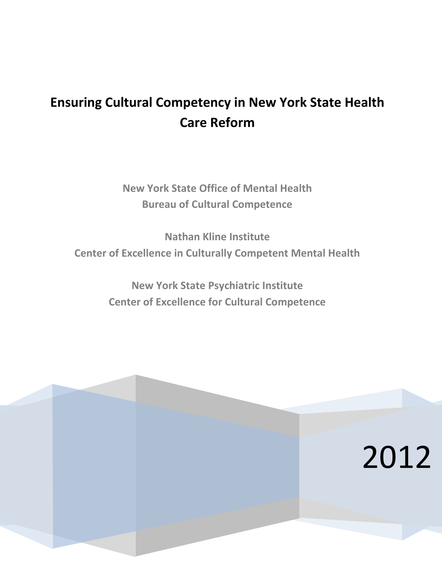# **Ensuring Cultural Competency in New York State Health Care Reform**

**New York State Office of Mental Health Bureau of Cultural Competence**

**Nathan Kline Institute Center of Excellence in Culturally Competent Mental Health**

> **New York State Psychiatric Institute Center of Excellence for Cultural Competence**

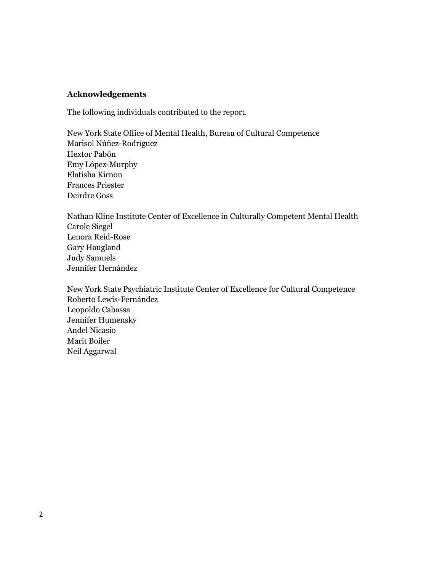## **Acknowledgements**

The following individuals contributed to the report.

New York State Office of Mental Health, Bureau of Cultural Competence Marisol Núñez-Rodríguez Hextor Pabón Emy López-Murphy Elatisha Kirnon Frances Priester Deirdre Goss

Nathan Kline Institute Center of Excellence in Culturally Competent Mental Health Carole Siegel Lenora Reid-Rose Gary Haugland Judy Samuels Jennifer Hernández

New York State Psychiatric Institute Center of Excellence for Cultural Competence Roberto Lewis-Fernández Leopoldo Cabassa Jennifer Humensky Andel Nicasio Marit Boiler Neil Aggarwal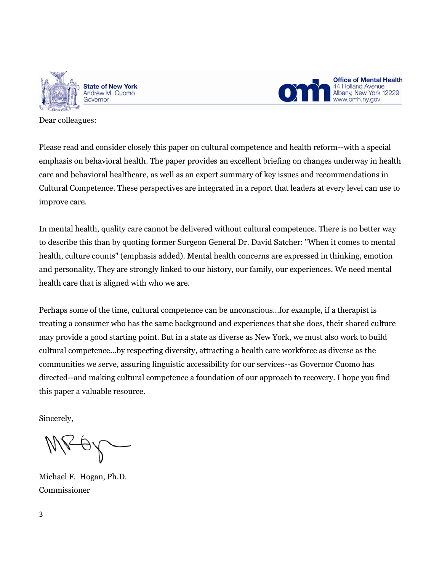



Dear colleagues:

Please read and consider closely this paper on cultural competence and health reform--with a special emphasis on behavioral health. The paper provides an excellent briefing on changes underway in health care and behavioral healthcare, as well as an expert summary of key issues and recommendations in Cultural Competence. These perspectives are integrated in a report that leaders at every level can use to improve care.

In mental health, quality care cannot be delivered without cultural competence. There is no better way to describe this than by quoting former Surgeon General Dr. David Satcher: "When it comes to mental health, culture counts" (emphasis added). Mental health concerns are expressed in thinking, emotion and personality. They are strongly linked to our history, our family, our experiences. We need mental health care that is aligned with who we are.

Perhaps some of the time, cultural competence can be unconscious...for example, if a therapist is treating a consumer who has the same background and experiences that she does, their shared culture may provide a good starting point. But in a state as diverse as New York, we must also work to build cultural competence...by respecting diversity, attracting a health care workforce as diverse as the communities we serve, assuring linguistic accessibility for our services--as Governor Cuomo has directed--and making cultural competence a foundation of our approach to recovery. I hope you find this paper a valuable resource.

Sincerely,

Michael F. Hogan, Ph.D. Commissioner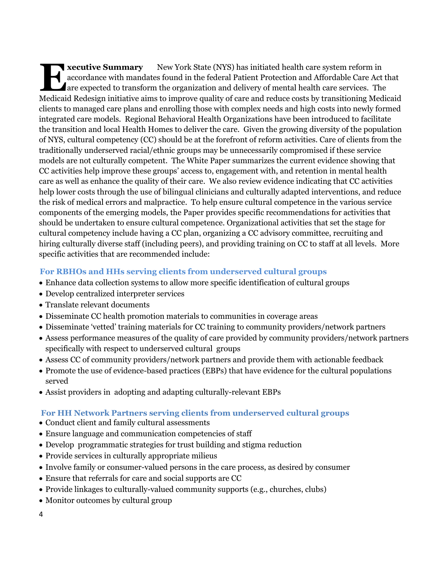**xecutive Summary** New York State (NYS) has initiated health care system reform in accordance with mandates found in the federal Patient Protection and Affordable Care Act that are expected to transform the organization and delivery of mental health care services. The Medicaid Redesign initiative aims to improve quality of care and reduce costs by transitioning Medicaid clients to managed care plans and enrolling those with complex needs and high costs into newly formed integrated care models. Regional Behavioral Health Organizations have been introduced to facilitate the transition and local Health Homes to deliver the care. Given the growing diversity of the population of NYS, cultural competency (CC) should be at the forefront of reform activities. Care of clients from the traditionally underserved racial/ethnic groups may be unnecessarily compromised if these service models are not culturally competent. The White Paper summarizes the current evidence showing that CC activities help improve these groups' access to, engagement with, and retention in mental health care as well as enhance the quality of their care. We also review evidence indicating that CC activities help lower costs through the use of bilingual clinicians and culturally adapted interventions, and reduce the risk of medical errors and malpractice. To help ensure cultural competence in the various service components of the emerging models, the Paper provides specific recommendations for activities that should be undertaken to ensure cultural competence. Organizational activities that set the stage for cultural competency include having a CC plan, organizing a CC advisory committee, recruiting and hiring culturally diverse staff (including peers), and providing training on CC to staff at all levels. More specific activities that are recommended include: **E**

# **For RBHOs and HHs serving clients from underserved cultural groups**

- Enhance data collection systems to allow more specific identification of cultural groups
- Develop centralized interpreter services
- Translate relevant documents
- Disseminate CC health promotion materials to communities in coverage areas
- Disseminate 'vetted' training materials for CC training to community providers/network partners
- Assess performance measures of the quality of care provided by community providers/network partners specifically with respect to underserved cultural groups
- Assess CC of community providers/network partners and provide them with actionable feedback
- Promote the use of evidence-based practices (EBPs) that have evidence for the cultural populations served
- Assist providers in adopting and adapting culturally-relevant EBPs

# **For HH Network Partners serving clients from underserved cultural groups**

- Conduct client and family cultural assessments
- Ensure language and communication competencies of staff
- Develop programmatic strategies for trust building and stigma reduction
- Provide services in culturally appropriate milieus
- Involve family or consumer-valued persons in the care process, as desired by consumer
- Ensure that referrals for care and social supports are CC
- Provide linkages to culturally-valued community supports (e.g., churches, clubs)
- Monitor outcomes by cultural group
- 4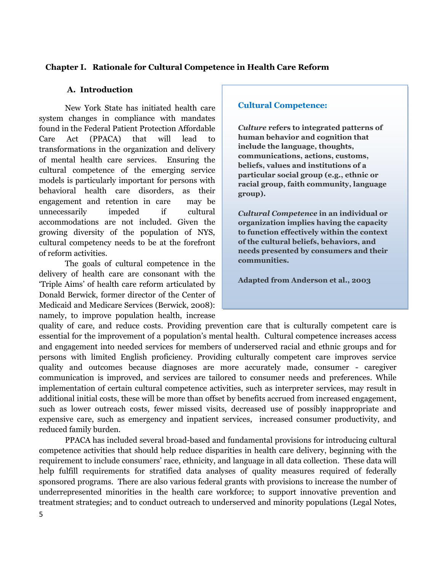## **Chapter I. Rationale for Cultural Competence in Health Care Reform**

## **A. Introduction**

New York State has initiated health care system changes in compliance with mandates found in the Federal Patient Protection Affordable Care Act (PPACA) that will lead to transformations in the organization and delivery of mental health care services. Ensuring the cultural competence of the emerging service models is particularly important for persons with behavioral health care disorders, as their engagement and retention in care may be unnecessarily impeded if cultural accommodations are not included. Given the growing diversity of the population of NYS, cultural competency needs to be at the forefront of reform activities.

The goals of cultural competence in the delivery of health care are consonant with the 'Triple Aims' of health care reform articulated by Donald Berwick, former director of the Center of Medicaid and Medicare Services (Berwick, 2008): namely, to improve population health, increase

## **Cultural Competence:**

*Culture* **refers to integrated patterns of human behavior and cognition that include the language, thoughts, communications, actions, customs, beliefs, values and institutions of a particular social group (e.g., ethnic or racial group, faith community, language group).**

*Cultural Competence* **in an individual or organization implies having the capacity to function effectively within the context of the cultural beliefs, behaviors, and needs presented by consumers and their communities.**

**Adapted from Anderson et al., 2003**

quality of care, and reduce costs. Providing prevention care that is culturally competent care is essential for the improvement of a population's mental health. Cultural competence increases access and engagement into needed services for members of underserved racial and ethnic groups and for persons with limited English proficiency. Providing culturally competent care improves service quality and outcomes because diagnoses are more accurately made, consumer - caregiver communication is improved, and services are tailored to consumer needs and preferences. While implementation of certain cultural competence activities, such as interpreter services, may result in additional initial costs, these will be more than offset by benefits accrued from increased engagement, such as lower outreach costs, fewer missed visits, decreased use of possibly inappropriate and expensive care, such as emergency and inpatient services, increased consumer productivity, and reduced family burden.

PPACA has included several broad-based and fundamental provisions for introducing cultural competence activities that should help reduce disparities in health care delivery, beginning with the requirement to include consumers' race, ethnicity, and language in all data collection. These data will help fulfill requirements for stratified data analyses of quality measures required of federally sponsored programs. There are also various federal grants with provisions to increase the number of underrepresented minorities in the health care workforce; to support innovative prevention and treatment strategies; and to conduct outreach to underserved and minority populations (Legal Notes,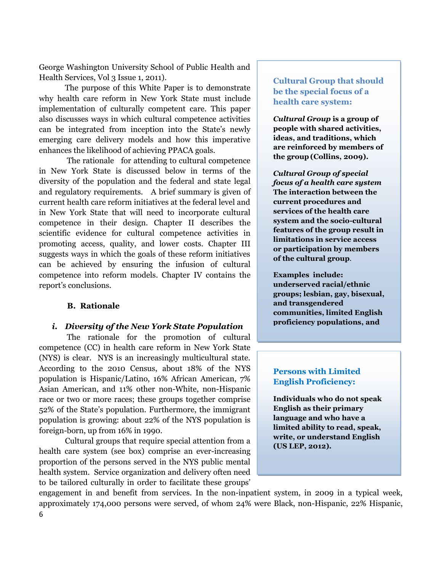George Washington University School of Public Health and Health Services, Vol 3 Issue 1, 2011).

The purpose of this White Paper is to demonstrate why health care reform in New York State must include implementation of culturally competent care. This paper also discusses ways in which cultural competence activities can be integrated from inception into the State's newly emerging care delivery models and how this imperative enhances the likelihood of achieving PPACA goals.

The rationale for attending to cultural competence in New York State is discussed below in terms of the diversity of the population and the federal and state legal and regulatory requirements. A brief summary is given of current health care reform initiatives at the federal level and in New York State that will need to incorporate cultural competence in their design. Chapter II describes the scientific evidence for cultural competence activities in promoting access, quality, and lower costs. Chapter III suggests ways in which the goals of these reform initiatives can be achieved by ensuring the infusion of cultural competence into reform models. Chapter IV contains the report's conclusions.

#### **B. Rationale**

#### *i. Diversity of the New York State Population*

The rationale for the promotion of cultural competence (CC) in health care reform in New York State (NYS) is clear. NYS is an increasingly multicultural state. According to the 2010 Census, about 18% of the NYS population is Hispanic/Latino, 16% African American, 7% Asian American, and 11% other non-White, non-Hispanic race or two or more races; these groups together comprise 52% of the State's population. Furthermore, the immigrant population is growing: about 22% of the NYS population is foreign-born, up from 16% in 1990.

Cultural groups that require special attention from a health care system (see box) comprise an ever-increasing proportion of the persons served in the NYS public mental health system. Service organization and delivery often need to be tailored culturally in order to facilitate these groups'

**Cultural Group that should be the special focus of a health care system:** 

*Cultural Group* **is a group of people with shared activities, ideas, and traditions, which are reinforced by members of the group (Collins, 2009).**

*Cultural Group of special focus of a health care system*  **The interaction between the current procedures and services of the health care system and the socio-cultural features of the group result in limitations in service access or participation by members of the cultural group**.

**Examples include: underserved racial/ethnic groups; lesbian, gay, bisexual, and transgendered communities, limited English proficiency populations, and** 

# **Persons with Limited English Proficiency:**

**Individuals who do not speak English as their primary language and who have a limited ability to read, speak, write, or understand English (US LEP, 2012).**

6 engagement in and benefit from services. In the non-inpatient system, in 2009 in a typical week, approximately 174,000 persons were served, of whom 24% were Black, non-Hispanic, 22% Hispanic,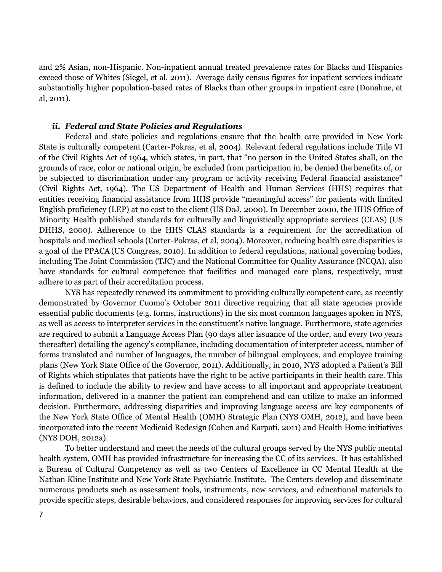and 2% Asian, non-Hispanic. Non-inpatient annual treated prevalence rates for Blacks and Hispanics exceed those of Whites (Siegel, et al. 2011). Average daily census figures for inpatient services indicate substantially higher population-based rates of Blacks than other groups in inpatient care (Donahue, et al, 2011).

#### *ii. Federal and State Policies and Regulations*

Federal and state policies and regulations ensure that the health care provided in New York State is culturally competent (Carter-Pokras, et al, 2004). Relevant federal regulations include Title VI of the Civil Rights Act of 1964, which states, in part, that "no person in the United States shall, on the grounds of race, color or national origin, be excluded from participation in, be denied the benefits of, or be subjected to discrimination under any program or activity receiving Federal financial assistance" (Civil Rights Act, 1964). The US Department of Health and Human Services (HHS) requires that entities receiving financial assistance from HHS provide "meaningful access" for patients with limited English proficiency (LEP) at no cost to the client(US DoJ, 2000). In December 2000, the HHS Office of Minority Health published standards for culturally and linguistically appropriate services (CLAS) (US DHHS, 2000). Adherence to the HHS CLAS standards is a requirement for the accreditation of hospitals and medical schools (Carter-Pokras, et al, 2004). Moreover, reducing health care disparities is a goal of the PPACA (US Congress, 2010). In addition to federal regulations, national governing bodies, including The Joint Commission (TJC) and the National Committee for Quality Assurance (NCQA), also have standards for cultural competence that facilities and managed care plans, respectively, must adhere to as part of their accreditation process.

NYS has repeatedly renewed its commitment to providing culturally competent care, as recently demonstrated by Governor Cuomo's October 2011 directive requiring that all state agencies provide essential public documents (e.g. forms, instructions) in the six most common languages spoken in NYS, as well as access to interpreter services in the constituent's native language. Furthermore, state agencies are required to submit a Language Access Plan (90 days after issuance of the order, and every two years thereafter) detailing the agency's compliance, including documentation of interpreter access, number of forms translated and number of languages, the number of bilingual employees, and employee training plans (New York State Office of the Governor, 2011). Additionally, in 2010, NYS adopted a Patient's Bill of Rights which stipulates that patients have the right to be active participants in their health care. This is defined to include the ability to review and have access to all important and appropriate treatment information, delivered in a manner the patient can comprehend and can utilize to make an informed decision. Furthermore, addressing disparities and improving language access are key components of the New York State Office of Mental Health (OMH) Strategic Plan (NYS OMH, 2012), and have been incorporated into the recent Medicaid Redesign (Cohen and Karpati, 2011) and Health Home initiatives (NYS DOH, 2012a).

To better understand and meet the needs of the cultural groups served by the NYS public mental health system, OMH has provided infrastructure for increasing the CC of its services. It has established a Bureau of Cultural Competency as well as two Centers of Excellence in CC Mental Health at the Nathan Kline Institute and New York State Psychiatric Institute. The Centers develop and disseminate numerous products such as assessment tools, instruments, new services, and educational materials to provide specific steps, desirable behaviors, and considered responses for improving services for cultural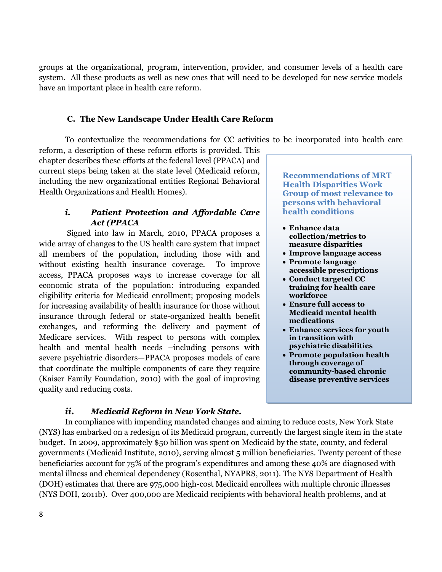groups at the organizational, program, intervention, provider, and consumer levels of a health care system. All these products as well as new ones that will need to be developed for new service models have an important place in health care reform.

## **C. The New Landscape Under Health Care Reform**

To contextualize the recommendations for CC activities to be incorporated into health care

reform, a description of these reform efforts is provided. This chapter describes these efforts at the federal level (PPACA) and current steps being taken at the state level (Medicaid reform, including the new organizational entities Regional Behavioral Health Organizations and Health Homes).

# *i. Patient Protection and Affordable Care Act (PPACA*

Signed into law in March, 2010, PPACA proposes a wide array of changes to the US health care system that impact all members of the population, including those with and without existing health insurance coverage. To improve access, PPACA proposes ways to increase coverage for all economic strata of the population: introducing expanded eligibility criteria for Medicaid enrollment; proposing models for increasing availability of health insurance for those without insurance through federal or state-organized health benefit exchanges, and reforming the delivery and payment of Medicare services. With respect to persons with complex health and mental health needs –including persons with severe psychiatric disorders—PPACA proposes models of care that coordinate the multiple components of care they require (Kaiser Family Foundation, 2010) with the goal of improving quality and reducing costs.

**Recommendations of MRT Health Disparities Work Group of most relevance to persons with behavioral health conditions**

- **Enhance data collection/metrics to measure disparities**
- **Improve language access**
- **Promote language accessible prescriptions**
- **Conduct targeted CC training for health care workforce**
- **Ensure full access to Medicaid mental health medications**
- **Enhance services for youth in transition with psychiatric disabilities**
- **Promote population health through coverage of community-based chronic disease preventive services**

# *ii. Medicaid Reform in New York State.*

In compliance with impending mandated changes and aiming to reduce costs, New York State (NYS) has embarked on a redesign of its Medicaid program, currently the largest single item in the state budget. In 2009, approximately \$50 billion was spent on Medicaid by the state, county, and federal governments (Medicaid Institute, 2010), serving almost 5 million beneficiaries. Twenty percent of these beneficiaries account for 75% of the program's expenditures and among these 40% are diagnosed with mental illness and chemical dependency (Rosenthal, NYAPRS, 2011). The NYS Department of Health (DOH) estimates that there are 975,000 high-cost Medicaid enrollees with multiple chronic illnesses (NYS DOH, 2011b). Over 400,000 are Medicaid recipients with behavioral health problems, and at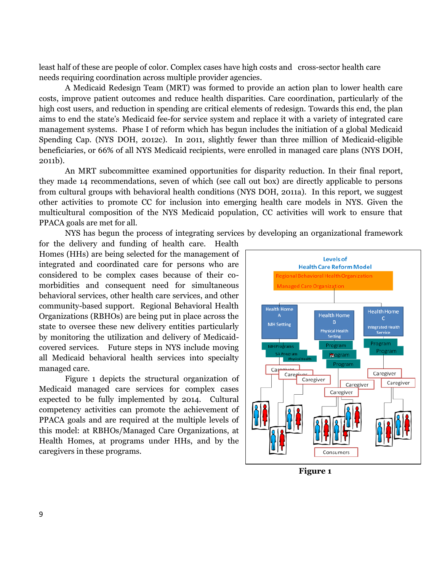least half of these are people of color. Complex cases have high costs and cross-sector health care needs requiring coordination across multiple provider agencies.

A Medicaid Redesign Team (MRT) was formed to provide an action plan to lower health care costs, improve patient outcomes and reduce health disparities. Care coordination, particularly of the high cost users, and reduction in spending are critical elements of redesign. Towards this end, the plan aims to end the state's Medicaid fee-for service system and replace it with a variety of integrated care management systems. Phase I of reform which has begun includes the initiation of a global Medicaid Spending Cap. (NYS DOH, 2012c). In 2011, slightly fewer than three million of Medicaid-eligible beneficiaries, or 66% of all NYS Medicaid recipients, were enrolled in managed care plans (NYS DOH, 2011b).

An MRT subcommittee examined opportunities for disparity reduction. In their final report, they made 14 recommendations, seven of which (see call out box) are directly applicable to persons from cultural groups with behavioral health conditions (NYS DOH, 2011a). In this report, we suggest other activities to promote CC for inclusion into emerging health care models in NYS. Given the multicultural composition of the NYS Medicaid population, CC activities will work to ensure that PPACA goals are met for all.

NYS has begun the process of integrating services by developing an organizational framework

for the delivery and funding of health care. Health Homes (HHs) are being selected for the management of integrated and coordinated care for persons who are considered to be complex cases because of their comorbidities and consequent need for simultaneous behavioral services, other health care services, and other community-based support. Regional Behavioral Health Organizations (RBHOs) are being put in place across the state to oversee these new delivery entities particularly by monitoring the utilization and delivery of Medicaidcovered services. Future steps in NYS include moving all Medicaid behavioral health services into specialty managed care.

Figure 1 depicts the structural organization of Medicaid managed care services for complex cases expected to be fully implemented by 2014. Cultural competency activities can promote the achievement of PPACA goals and are required at the multiple levels of this model: at RBHOs/Managed Care Organizations, at Health Homes, at programs under HHs, and by the caregivers in these programs.



**Figure 1**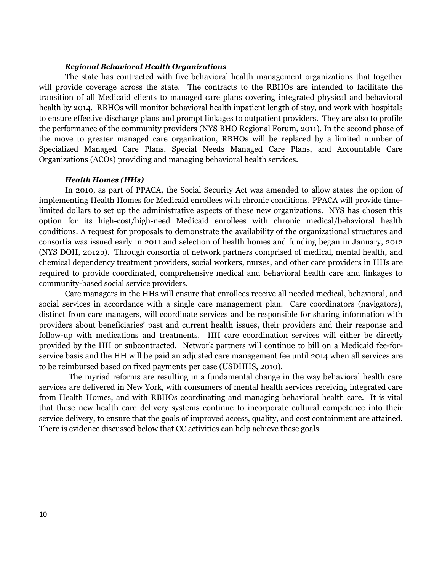#### *Regional Behavioral Health Organizations*

The state has contracted with five behavioral health management organizations that together will provide coverage across the state. The contracts to the RBHOs are intended to facilitate the transition of all Medicaid clients to managed care plans covering integrated physical and behavioral health by 2014. RBHOs will monitor behavioral health inpatient length of stay, and work with hospitals to ensure effective discharge plans and prompt linkages to outpatient providers. They are also to profile the performance of the community providers (NYS BHO Regional Forum, 2011). In the second phase of the move to greater managed care organization, RBHOs will be replaced by a limited number of Specialized Managed Care Plans, Special Needs Managed Care Plans, and Accountable Care Organizations (ACOs) providing and managing behavioral health services.

#### *Health Homes (HHs)*

In 2010, as part of PPACA, the Social Security Act was amended to allow states the option of implementing Health Homes for Medicaid enrollees with chronic conditions. PPACA will provide timelimited dollars to set up the administrative aspects of these new organizations. NYS has chosen this option for its high-cost/high-need Medicaid enrollees with chronic medical/behavioral health conditions. A request for proposals to demonstrate the availability of the organizational structures and consortia was issued early in 2011 and selection of health homes and funding began in January, 2012 (NYS DOH, 2012b). Through consortia of network partners comprised of medical, mental health, and chemical dependency treatment providers, social workers, nurses, and other care providers in HHs are required to provide coordinated, comprehensive medical and behavioral health care and linkages to community-based social service providers.

Care managers in the HHs will ensure that enrollees receive all needed medical, behavioral, and social services in accordance with a single care management plan. Care coordinators (navigators), distinct from care managers, will coordinate services and be responsible for sharing information with providers about beneficiaries' past and current health issues, their providers and their response and follow-up with medications and treatments. HH care coordination services will either be directly provided by the HH or subcontracted. Network partners will continue to bill on a Medicaid fee-forservice basis and the HH will be paid an adjusted care management fee until 2014 when all services are to be reimbursed based on fixed payments per case (USDHHS, 2010).

The myriad reforms are resulting in a fundamental change in the way behavioral health care services are delivered in New York, with consumers of mental health services receiving integrated care from Health Homes, and with RBHOs coordinating and managing behavioral health care. It is vital that these new health care delivery systems continue to incorporate cultural competence into their service delivery, to ensure that the goals of improved access, quality, and cost containment are attained. There is evidence discussed below that CC activities can help achieve these goals.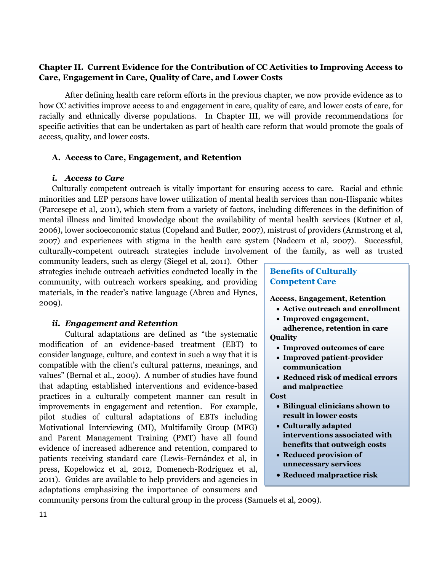# **Chapter II. Current Evidence for the Contribution of CC Activities to Improving Access to Care, Engagement in Care, Quality of Care, and Lower Costs**

After defining health care reform efforts in the previous chapter, we now provide evidence as to how CC activities improve access to and engagement in care, quality of care, and lower costs of care, for racially and ethnically diverse populations. In Chapter III, we will provide recommendations for specific activities that can be undertaken as part of health care reform that would promote the goals of access, quality, and lower costs.

## **A. Access to Care, Engagement, and Retention**

## *i. Access to Care*

Culturally competent outreach is vitally important for ensuring access to care. Racial and ethnic minorities and LEP persons have lower utilization of mental health services than non-Hispanic whites (Parcesepe et al, 2011), which stem from a variety of factors, including differences in the definition of mental illness and limited knowledge about the availability of mental health services (Kutner et al, 2006), lower socioeconomic status (Copeland and Butler, 2007), mistrust of providers (Armstrong et al, 2007) and experiences with stigma in the health care system (Nadeem et al, 2007). Successful, culturally-competent outreach strategies include involvement of the family, as well as trusted

community leaders, such as clergy (Siegel et al, 2011). Other strategies include outreach activities conducted locally in the community, with outreach workers speaking, and providing materials, in the reader's native language (Abreu and Hynes, 2009).

## *ii. Engagement and Retention*

Cultural adaptations are defined as "the systematic modification of an evidence-based treatment (EBT) to consider language, culture, and context in such a way that it is compatible with the client's cultural patterns, meanings, and values" (Bernal et al., 2009). A number of studies have found that adapting established interventions and evidence-based practices in a culturally competent manner can result in improvements in engagement and retention. For example, pilot studies of cultural adaptations of EBTs including Motivational Interviewing (MI), Multifamily Group (MFG) and Parent Management Training (PMT) have all found evidence of increased adherence and retention, compared to patients receiving standard care (Lewis-Fernández et al, in press, Kopelowicz et al, 2012, Domenech-Rodríguez et al, 2011). Guides are available to help providers and agencies in adaptations emphasizing the importance of consumers and

# **Benefits of Culturally Competent Care**

**Access, Engagement, Retention**

- **Active outreach and enrollment**
- **Improved engagement,**
- **adherence, retention in care Quality**
	- **Improved outcomes of care**
	- **Improved patient-provider communication**
	- **Reduced risk of medical errors and malpractice**

#### **Cost**

- **Bilingual clinicians shown to result in lower costs**
- **Culturally adapted interventions associated with benefits that outweigh costs**
- **Reduced provision of unnecessary services**
- **Reduced malpractice risk**

community persons from the cultural group in the process (Samuels et al, 2009).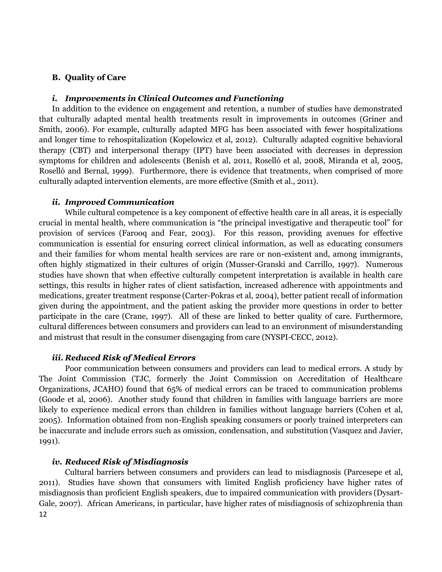## **B. Quality of Care**

#### *i. Improvements in Clinical Outcomes and Functioning*

In addition to the evidence on engagement and retention, a number of studies have demonstrated that culturally adapted mental health treatments result in improvements in outcomes (Griner and Smith, 2006). For example, culturally adapted MFG has been associated with fewer hospitalizations and longer time to rehospitalization (Kopelowicz et al, 2012). Culturally adapted cognitive behavioral therapy (CBT) and interpersonal therapy (IPT) have been associated with decreases in depression symptoms for children and adolescents (Benish et al, 2011, Roselló et al, 2008, Miranda et al, 2005, Roselló and Bernal, 1999). Furthermore, there is evidence that treatments, when comprised of more culturally adapted intervention elements, are more effective (Smith et al., 2011).

#### *ii. Improved Communication*

While cultural competence is a key component of effective health care in all areas, it is especially crucial in mental health, where communication is "the principal investigative and therapeutic tool" for provision of services (Farooq and Fear, 2003). For this reason, providing avenues for effective communication is essential for ensuring correct clinical information, as well as educating consumers and their families for whom mental health services are rare or non-existent and, among immigrants, often highly stigmatized in their cultures of origin (Musser-Granski and Carrillo, 1997). Numerous studies have shown that when effective culturally competent interpretation is available in health care settings, this results in higher rates of client satisfaction, increased adherence with appointments and medications, greater treatment response (Carter-Pokras et al, 2004), better patient recall of information given during the appointment, and the patient asking the provider more questions in order to better participate in the care (Crane, 1997). All of these are linked to better quality of care. Furthermore, cultural differences between consumers and providers can lead to an environment of misunderstanding and mistrust that result in the consumer disengaging from care (NYSPI-CECC, 2012).

#### *iii. Reduced Risk of Medical Errors*

Poor communication between consumers and providers can lead to medical errors. A study by The Joint Commission (TJC, formerly the Joint Commission on Accreditation of Healthcare Organizations, JCAHO) found that 65% of medical errors can be traced to communication problems (Goode et al, 2006). Another study found that children in families with language barriers are more likely to experience medical errors than children in families without language barriers (Cohen et al, 2005). Information obtained from non-English speaking consumers or poorly trained interpreters can be inaccurate and include errors such as omission, condensation, and substitution (Vasquez and Javier, 1991).

### *iv. Reduced Risk of Misdiagnosis*

12 Cultural barriers between consumers and providers can lead to misdiagnosis (Parcesepe et al, 2011). Studies have shown that consumers with limited English proficiency have higher rates of misdiagnosis than proficient English speakers, due to impaired communication with providers (Dysart-Gale, 2007). African Americans, in particular, have higher rates of misdiagnosis of schizophrenia than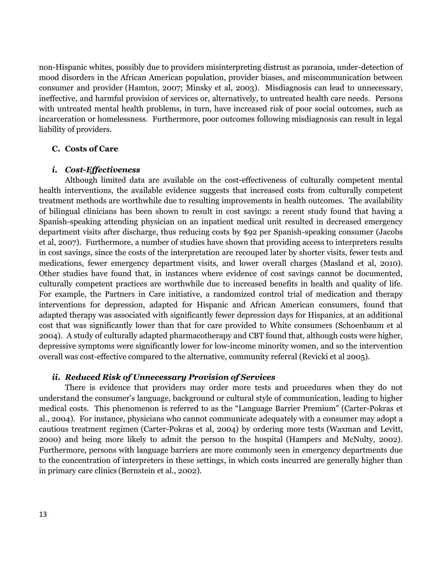non-Hispanic whites, possibly due to providers misinterpreting distrust as paranoia, under-detection of mood disorders in the African American population, provider biases, and miscommunication between consumer and provider (Hamton, 2007; Minsky et al, 2003). Misdiagnosis can lead to unnecessary, ineffective, and harmful provision of services or, alternatively, to untreated health care needs. Persons with untreated mental health problems, in turn, have increased risk of poor social outcomes, such as incarceration or homelessness. Furthermore, poor outcomes following misdiagnosis can result in legal liability of providers.

#### **C. Costs of Care**

#### *i. Cost-Effectiveness*

Although limited data are available on the cost-effectiveness of culturally competent mental health interventions, the available evidence suggests that increased costs from culturally competent treatment methods are worthwhile due to resulting improvements in health outcomes. The availability of bilingual clinicians has been shown to result in cost savings: a recent study found that having a Spanish-speaking attending physician on an inpatient medical unit resulted in decreased emergency department visits after discharge, thus reducing costs by \$92 per Spanish-speaking consumer (Jacobs et al, 2007). Furthermore, a number of studies have shown that providing access to interpreters results in cost savings, since the costs of the interpretation are recouped later by shorter visits, fewer tests and medications, fewer emergency department visits, and lower overall charges (Masland et al, 2010). Other studies have found that, in instances where evidence of cost savings cannot be documented, culturally competent practices are worthwhile due to increased benefits in health and quality of life. For example, the Partners in Care initiative, a randomized control trial of medication and therapy interventions for depression, adapted for Hispanic and African American consumers, found that adapted therapy was associated with significantly fewer depression days for Hispanics, at an additional cost that was significantly lower than that for care provided to White consumers (Schoenbaum et al 2004). A study of culturally adapted pharmacotherapy and CBT found that, although costs were higher, depressive symptoms were significantly lower for low-income minority women, and so the intervention overall was cost-effective compared to the alternative, community referral (Revicki et al 2005).

#### *ii. Reduced Risk of Unnecessary Provision of Services*

There is evidence that providers may order more tests and procedures when they do not understand the consumer's language, background or cultural style of communication, leading to higher medical costs. This phenomenon is referred to as the "Language Barrier Premium" (Carter-Pokras et al., 2004). For instance, physicians who cannot communicate adequately with a consumer may adopt a cautious treatment regimen (Carter-Pokras et al, 2004) by ordering more tests (Waxman and Levitt, 2000) and being more likely to admit the person to the hospital (Hampers and McNulty, 2002). Furthermore, persons with language barriers are more commonly seen in emergency departments due to the concentration of interpreters in these settings, in which costs incurred are generally higher than in primary care clinics (Bernstein et al., 2002).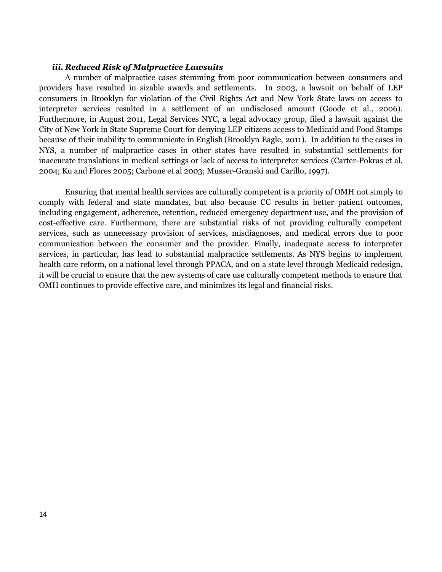### *iii. Reduced Risk of Malpractice Lawsuits*

A number of malpractice cases stemming from poor communication between consumers and providers have resulted in sizable awards and settlements. In 2003, a lawsuit on behalf of LEP consumers in Brooklyn for violation of the Civil Rights Act and New York State laws on access to interpreter services resulted in a settlement of an undisclosed amount (Goode et al., 2006). Furthermore, in August 2011, Legal Services NYC, a legal advocacy group, filed a lawsuit against the City of New York in State Supreme Court for denying LEP citizens access to Medicaid and Food Stamps because of their inability to communicate in English (Brooklyn Eagle, 2011). In addition to the cases in NYS, a number of malpractice cases in other states have resulted in substantial settlements for inaccurate translations in medical settings or lack of access to interpreter services (Carter-Pokras et al, 2004; Ku and Flores 2005; Carbone et al 2003; Musser-Granski and Carillo, 1997).

Ensuring that mental health services are culturally competent is a priority of OMH not simply to comply with federal and state mandates, but also because CC results in better patient outcomes, including engagement, adherence, retention, reduced emergency department use, and the provision of cost-effective care. Furthermore, there are substantial risks of not providing culturally competent services, such as unnecessary provision of services, misdiagnoses, and medical errors due to poor communication between the consumer and the provider. Finally, inadequate access to interpreter services, in particular, has lead to substantial malpractice settlements. As NYS begins to implement health care reform, on a national level through PPACA, and on a state level through Medicaid redesign, it will be crucial to ensure that the new systems of care use culturally competent methods to ensure that OMH continues to provide effective care, and minimizes its legal and financial risks.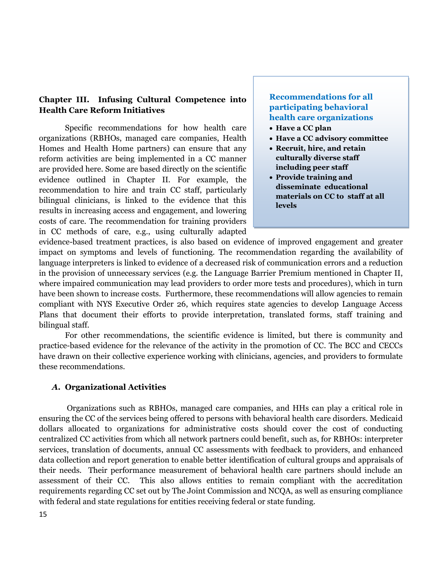# **Chapter III. Infusing Cultural Competence into Health Care Reform Initiatives**

Specific recommendations for how health care organizations (RBHOs, managed care companies, Health Homes and Health Home partners) can ensure that any reform activities are being implemented in a CC manner are provided here. Some are based directly on the scientific evidence outlined in Chapter II. For example, the recommendation to hire and train CC staff, particularly bilingual clinicians, is linked to the evidence that this results in increasing access and engagement, and lowering costs of care. The recommendation for training providers in CC methods of care, e.g., using culturally adapted

# **Recommendations for all participating behavioral health care organizations**

- **Have a CC plan**
- **Have a CC advisory committee**
- **Recruit, hire, and retain culturally diverse staff including peer staff**
- **Provide training and disseminate educational materials on CC to staff at all levels**

evidence-based treatment practices, is also based on evidence of improved engagement and greater impact on symptoms and levels of functioning. The recommendation regarding the availability of language interpreters is linked to evidence of a decreased risk of communication errors and a reduction in the provision of unnecessary services (e.g. the Language Barrier Premium mentioned in Chapter II, where impaired communication may lead providers to order more tests and procedures), which in turn have been shown to increase costs. Furthermore, these recommendations will allow agencies to remain compliant with NYS Executive Order 26, which requires state agencies to develop Language Access Plans that document their efforts to provide interpretation, translated forms, staff training and bilingual staff.

For other recommendations, the scientific evidence is limited, but there is community and practice-based evidence for the relevance of the activity in the promotion of CC. The BCC and CECCs have drawn on their collective experience working with clinicians, agencies, and providers to formulate these recommendations.

## *A.* **Organizational Activities**

Organizations such as RBHOs, managed care companies, and HHs can play a critical role in ensuring the CC of the services being offered to persons with behavioral health care disorders. Medicaid dollars allocated to organizations for administrative costs should cover the cost of conducting centralized CC activities from which all network partners could benefit, such as, for RBHOs: interpreter services, translation of documents, annual CC assessments with feedback to providers, and enhanced data collection and report generation to enable better identification of cultural groups and appraisals of their needs. Their performance measurement of behavioral health care partners should include an assessment of their CC. This also allows entities to remain compliant with the accreditation requirements regarding CC set out by The Joint Commission and NCQA, as well as ensuring compliance with federal and state regulations for entities receiving federal or state funding.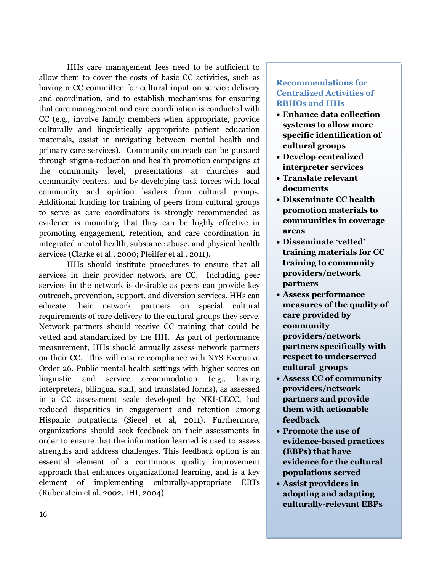HHs care management fees need to be sufficient to allow them to cover the costs of basic CC activities, such as having a CC committee for cultural input on service delivery and coordination, and to establish mechanisms for ensuring that care management and care coordination is conducted with CC (e.g., involve family members when appropriate, provide culturally and linguistically appropriate patient education materials, assist in navigating between mental health and primary care services). Community outreach can be pursued through stigma-reduction and health promotion campaigns at the community level, presentations at churches and community centers, and by developing task forces with local community and opinion leaders from cultural groups. Additional funding for training of peers from cultural groups to serve as care coordinators is strongly recommended as evidence is mounting that they can be highly effective in promoting engagement, retention, and care coordination in integrated mental health, substance abuse, and physical health services (Clarke et al., 2000; Pfeiffer et al., 2011).

HHs should institute procedures to ensure that all services in their provider network are CC. Including peer services in the network is desirable as peers can provide key outreach, prevention, support, and diversion services. HHs can educate their network partners on special cultural requirements of care delivery to the cultural groups they serve. Network partners should receive CC training that could be vetted and standardized by the HH. As part of performance measurement, HHs should annually assess network partners on their CC. This will ensure compliance with NYS Executive Order 26. Public mental health settings with higher scores on linguistic and service accommodation (e.g., having interpreters, bilingual staff, and translated forms), as assessed in a CC assessment scale developed by NKI-CECC, had reduced disparities in engagement and retention among Hispanic outpatients (Siegel et al, 2011). Furthermore, organizations should seek feedback on their assessments in order to ensure that the information learned is used to assess strengths and address challenges. This feedback option is an essential element of a continuous quality improvement approach that enhances organizational learning, and is a key element of implementing culturally-appropriate EBTs (Rubenstein et al, 2002, IHI, 2004).

# **Recommendations for Centralized Activities of RBHOs and HHs**

- **Enhance data collection systems to allow more specific identification of cultural groups**
- **Develop centralized interpreter services**
- **Translate relevant documents**
- **Disseminate CC health promotion materials to communities in coverage areas**
- **Disseminate 'vetted' training materials for CC training to community providers/network partners**
- **Assess performance measures of the quality of care provided by community providers/network partners specifically with respect to underserved cultural groups**
- **Assess CC of community providers/network partners and provide them with actionable feedback**
- **Promote the use of evidence-based practices (EBPs) that have evidence for the cultural populations served**
- **Assist providers in adopting and adapting culturally-relevant EBPs**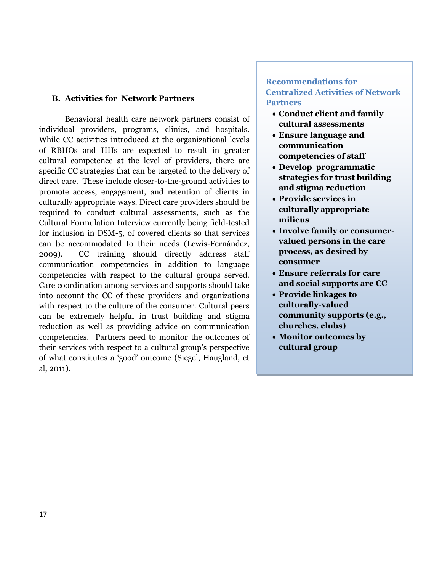#### **B. Activities for Network Partners**

Behavioral health care network partners consist of individual providers, programs, clinics, and hospitals. While CC activities introduced at the organizational levels of RBHOs and HHs are expected to result in greater cultural competence at the level of providers, there are specific CC strategies that can be targeted to the delivery of direct care. These include closer-to-the-ground activities to promote access, engagement, and retention of clients in culturally appropriate ways. Direct care providers should be required to conduct cultural assessments, such as the Cultural Formulation Interview currently being field-tested for inclusion in DSM-5, of covered clients so that services can be accommodated to their needs (Lewis-Fernández, 2009). CC training should directly address staff communication competencies in addition to language competencies with respect to the cultural groups served. Care coordination among services and supports should take into account the CC of these providers and organizations with respect to the culture of the consumer. Cultural peers can be extremely helpful in trust building and stigma reduction as well as providing advice on communication competencies. Partners need to monitor the outcomes of their services with respect to a cultural group's perspective of what constitutes a 'good' outcome (Siegel, Haugland, et al, 2011).

## **Recommendations for Centralized Activities of Network Partners**

- **Conduct client and family cultural assessments**
- **Ensure language and communication competencies of staff**
- **Develop programmatic strategies for trust building and stigma reduction**
- **Provide services in culturally appropriate milieus**
- **Involve family or consumervalued persons in the care process, as desired by consumer**
- **Ensure referrals for care and social supports are CC**
- **Provide linkages to culturally-valued community supports (e.g., churches, clubs)**
- **Monitor outcomes by cultural group**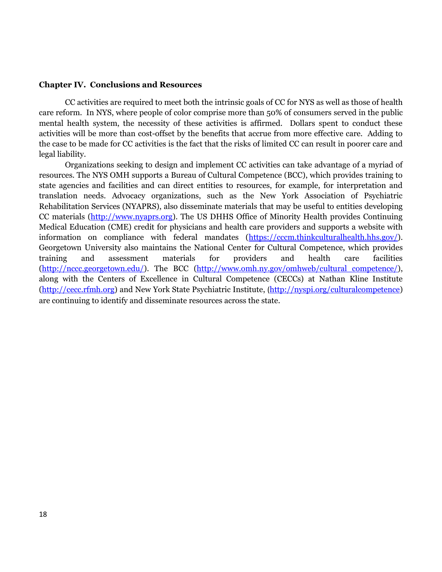#### **Chapter IV. Conclusions and Resources**

CC activities are required to meet both the intrinsic goals of CC for NYS as well as those of health care reform. In NYS, where people of color comprise more than 50% of consumers served in the public mental health system, the necessity of these activities is affirmed. Dollars spent to conduct these activities will be more than cost-offset by the benefits that accrue from more effective care. Adding to the case to be made for CC activities is the fact that the risks of limited CC can result in poorer care and legal liability.

Organizations seeking to design and implement CC activities can take advantage of a myriad of resources. The NYS OMH supports a Bureau of Cultural Competence (BCC), which provides training to state agencies and facilities and can direct entities to resources, for example, for interpretation and translation needs. Advocacy organizations, such as the New York Association of Psychiatric Rehabilitation Services (NYAPRS), also disseminate materials that may be useful to entities developing CC materials [\(http://www.nyaprs.org\)](http://www.nyaprs.org/). The US DHHS Office of Minority Health provides Continuing Medical Education (CME) credit for physicians and health care providers and supports a website with information on compliance with federal mandates [\(https://cccm.thinkculturalhealth.hhs.gov/\)](https://cccm.thinkculturalhealth.hhs.gov/). Georgetown University also maintains the National Center for Cultural Competence, which provides training and assessment materials for providers and health care facilities [\(http://nccc.georgetown.edu/\)](http://nccc.georgetown.edu/). The BCC [\(http://www.omh.ny.gov/omhweb/cultural\\_competence/\)](http://www.omh.ny.gov/omhweb/cultural_competence/), along with the Centers of Excellence in Cultural Competence (CECCs) at Nathan Kline Institute [\(http://cecc.rfmh.org\)](http://cecc.rfmh.org/) and New York State Psychiatric Institute, ([http://nyspi.org/culturalcompetence\)](http://nyspi.org/culturalcompetence) are continuing to identify and disseminate resources across the state.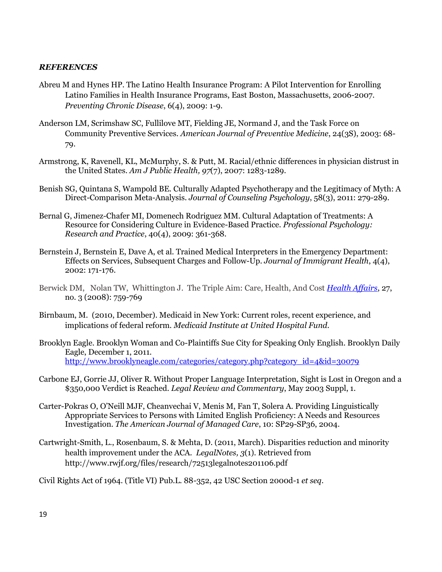## *REFERENCES*

- Abreu M and Hynes HP. The Latino Health Insurance Program: A Pilot Intervention for Enrolling Latino Families in Health Insurance Programs, East Boston, Massachusetts, 2006-2007. *Preventing Chronic Disease*, 6(4), 2009: 1-9.
- Anderson LM, Scrimshaw SC, Fullilove MT, Fielding JE, Normand J, and the Task Force on Community Preventive Services. *American Journal of Preventive Medicine*, 24(3S), 2003: 68- 79.
- Armstrong, K, Ravenell, KL, McMurphy, S. & Putt, M. Racial/ethnic differences in physician distrust in the United States. *Am J Public Health, 97*(7), 2007: 1283-1289.
- Benish SG, Quintana S, Wampold BE. Culturally Adapted Psychotherapy and the Legitimacy of Myth: A Direct-Comparison Meta-Analysis. *Journal of Counseling Psychology*, 58(3), 2011: 279-289.
- Bernal G, Jimenez-Chafer MI, Domenech Rodriguez MM. Cultural Adaptation of Treatments: A Resource for Considering Culture in Evidence-Based Practice. *Professional Psychology: Research and Practice*, 40(4), 2009: 361-368.
- Bernstein J, Bernstein E, Dave A, et al. Trained Medical Interpreters in the Emergency Department: Effects on Services, Subsequent Charges and Follow-Up. *Journal of Immigrant Health*, 4(4), 2002: 171-176.
- Berwick DM, Nolan TW, Whittington J. The Triple Aim: Care, Health, And Cost *[Health Affairs](http://content.healthaffairs.org/)*, 27, no. 3 (2008): 759-769
- Birnbaum, M. (2010, December). Medicaid in New York: Current roles, recent experience, and implications of federal reform. *Medicaid Institute at United Hospital Fund*.
- Brooklyn Eagle. Brooklyn Woman and Co-Plaintiffs Sue City for Speaking Only English. Brooklyn Daily Eagle, December 1, 2011. [http://www.brooklyneagle.com/categories/category.php?category\\_id=4&id=30079](http://www.brooklyneagle.com/categories/category.php?category_id=4&id=30079)
- Carbone EJ, Gorrie JJ, Oliver R. Without Proper Language Interpretation, Sight is Lost in Oregon and a \$350,000 Verdict is Reached. *Legal Review and Commentary*, May 2003 Suppl, 1.
- Carter-Pokras O, O'Neill MJF, Cheanvechai V, Menis M, Fan T, Solera A. Providing Linguistically Appropriate Services to Persons with Limited English Proficiency: A Needs and Resources Investigation. *The American Journal of Managed Care*, 10: SP29-SP36, 2004.
- Cartwright-Smith, L., Rosenbaum, S. & Mehta, D. (2011, March). Disparities reduction and minority health improvement under the ACA. *LegalNotes, 3*(1). Retrieved from http://www.rwjf.org/files/research/72513legalnotes201106.pdf

Civil Rights Act of 1964. (Title VI) Pub.L. 88-352, 42 USC Section 2000d-1 *et seq*.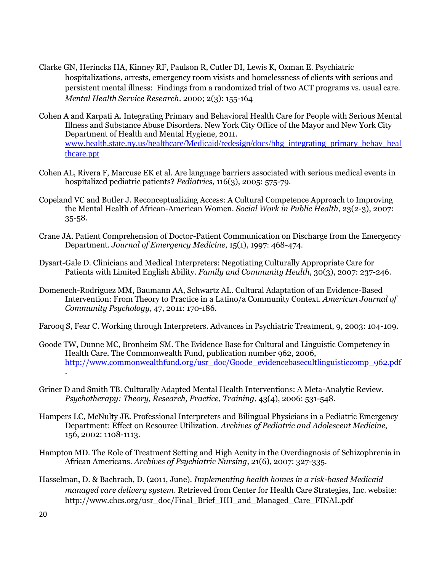- Clarke GN, Herincks HA, Kinney RF, Paulson R, Cutler DI, Lewis K, Oxman E. Psychiatric hospitalizations, arrests, emergency room visists and homelessness of clients with serious and persistent mental illness: Findings from a randomized trial of two ACT programs vs. usual care. *Mental Health Service Research*. 2000; 2(3): 155-164
- Cohen A and Karpati A. Integrating Primary and Behavioral Health Care for People with Serious Mental Illness and Substance Abuse Disorders. New York City Office of the Mayor and New York City Department of Health and Mental Hygiene, 2011. [www.health.state.ny.us/healthcare/Medicaid/redesign/docs/bhg\\_integrating\\_primary\\_behav\\_heal](http://www.health.state.ny.us/healthcare/Medicaid/redesign/docs/bhg_integrating_primary_behav_healthcare.ppt) [thcare.ppt](http://www.health.state.ny.us/healthcare/Medicaid/redesign/docs/bhg_integrating_primary_behav_healthcare.ppt)
- Cohen AL, Rivera F, Marcuse EK et al. Are language barriers associated with serious medical events in hospitalized pediatric patients? *Pediatrics*, 116(3), 2005: 575-79.
- Copeland VC and Butler J. Reconceptualizing Access: A Cultural Competence Approach to Improving the Mental Health of African-American Women. *Social Work in Public Health*, 23(2-3), 2007: 35-58.
- Crane JA. Patient Comprehension of Doctor-Patient Communication on Discharge from the Emergency Department. *Journal of Emergency Medicine*, 15(1), 1997: 468-474.
- Dysart-Gale D. Clinicians and Medical Interpreters: Negotiating Culturally Appropriate Care for Patients with Limited English Ability. *Family and Community Health*, 30(3), 2007: 237-246.
- Domenech-Rodriguez MM, Baumann AA, Schwartz AL. Cultural Adaptation of an Evidence-Based Intervention: From Theory to Practice in a Latino/a Community Context. *American Journal of Community Psychology*, 47, 2011: 170-186.
- Farooq S, Fear C. Working through Interpreters. Advances in Psychiatric Treatment, 9, 2003: 104-109.
- Goode TW, Dunne MC, Bronheim SM. The Evidence Base for Cultural and Linguistic Competency in Health Care. The Commonwealth Fund, publication number 962, 2006, [http://www.commonwealthfund.org/usr\\_doc/Goode\\_evidencebasecultlinguisticcomp\\_962.pdf](http://www.commonwealthfund.org/usr_doc/Goode_evidencebasecultlinguisticcomp_962.pdf) .
- Griner D and Smith TB. Culturally Adapted Mental Health Interventions: A Meta-Analytic Review. *Psychotherapy: Theory, Research, Practice, Training*, 43(4), 2006: 531-548.
- Hampers LC, McNulty JE. Professional Interpreters and Bilingual Physicians in a Pediatric Emergency Department: Effect on Resource Utilization. *Archives of Pediatric and Adolescent Medicine*, 156, 2002: 1108-1113.
- Hampton MD. The Role of Treatment Setting and High Acuity in the Overdiagnosis of Schizophrenia in African Americans. *Archives of Psychiatric Nursing*, 21(6), 2007: 327-335.
- Hasselman, D. & Bachrach, D. (2011, June). *Implementing health homes in a risk-based Medicaid managed care delivery system*. Retrieved from Center for Health Care Strategies, Inc. website: http://www.chcs.org/usr\_doc/Final\_Brief\_HH\_and\_Managed\_Care\_FINAL.pdf

20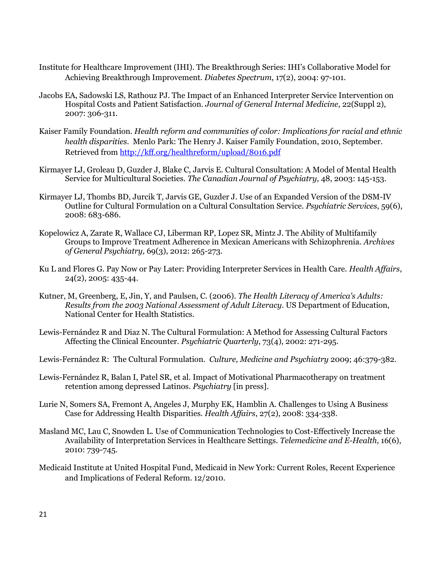- Institute for Healthcare Improvement (IHI). The Breakthrough Series: IHI's Collaborative Model for Achieving Breakthrough Improvement. *Diabetes Spectrum*, 17(2), 2004: 97-101.
- Jacobs EA, Sadowski LS, Rathouz PJ. The Impact of an Enhanced Interpreter Service Intervention on Hospital Costs and Patient Satisfaction. *Journal of General Internal Medicine*, 22(Suppl 2), 2007: 306-311.
- Kaiser Family Foundation. *Health reform and communities of color: Implications for racial and ethnic health disparities*. Menlo Park: The Henry J. Kaiser Family Foundation, 2010, September. Retrieved from<http://kff.org/healthreform/upload/8016.pdf>
- Kirmayer LJ, Groleau D, Guzder J, Blake C, Jarvis E. Cultural Consultation: A Model of Mental Health Service for Multicultural Societies. *The Canadian Journal of Psychiatry*, 48, 2003: 145-153.
- Kirmayer LJ, Thombs BD, Jurcik T, Jarvis GE, Guzder J. Use of an Expanded Version of the DSM-IV Outline for Cultural Formulation on a Cultural Consultation Service. *Psychiatric Services*, 59(6), 2008: 683-686.
- Kopelowicz A, Zarate R, Wallace CJ, Liberman RP, Lopez SR, Mintz J. The Ability of Multifamily Groups to Improve Treatment Adherence in Mexican Americans with Schizophrenia. *Archives of General Psychiatry,* 69(3), 2012: 265-273.
- Ku L and Flores G. Pay Now or Pay Later: Providing Interpreter Services in Health Care. *Health Affairs*, 24(2), 2005: 435-44.
- Kutner, M, Greenberg, E, Jin, Y, and Paulsen, C. (2006). *The Health Literacy of America's Adults: Results from the 2003 National Assessment of Adult Literacy*. US Department of Education, National Center for Health Statistics.
- Lewis-Fernández R and Diaz N. The Cultural Formulation: A Method for Assessing Cultural Factors Affecting the Clinical Encounter. *Psychiatric Quarterly*, 73(4), 2002: 271-295.
- Lewis-Fernández R: The Cultural Formulation. *Culture, Medicine and Psychiatry* 2009; 46:379-382.
- Lewis-Fernández R, Balan I, Patel SR, et al. Impact of Motivational Pharmacotherapy on treatment retention among depressed Latinos. *Psychiatry* [in press].
- Lurie N, Somers SA, Fremont A, Angeles J, Murphy EK, Hamblin A. Challenges to Using A Business Case for Addressing Health Disparities. *Health Affairs*, 27(2), 2008: 334-338.
- Masland MC, Lau C, Snowden L. Use of Communication Technologies to Cost-Effectively Increase the Availability of Interpretation Services in Healthcare Settings. *Telemedicine and E-Health*, 16(6), 2010: 739-745.
- Medicaid Institute at United Hospital Fund, Medicaid in New York: Current Roles, Recent Experience and Implications of Federal Reform. 12/2010.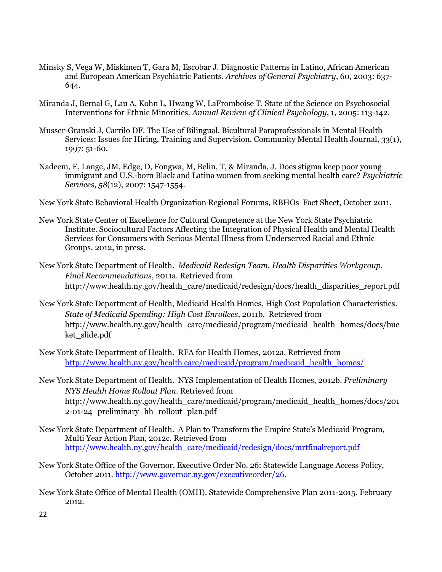- Minsky S, Vega W, Miskimen T, Gara M, Escobar J. Diagnostic Patterns in Latino, African American and European American Psychiatric Patients. *Archives of General Psychiatry*, 60, 2003: 637- 644.
- Miranda J, Bernal G, Lau A, Kohn L, Hwang W, LaFromboise T. State of the Science on Psychosocial Interventions for Ethnic Minorities. *Annual Review of Clinical Psychology*, 1, 2005: 113-142.
- Musser-Granski J, Carrilo DF. The Use of Bilingual, Bicultural Paraprofessionals in Mental Health Services: Issues for Hiring, Training and Supervision. Community Mental Health Journal, 33(1), 1997: 51-60.
- Nadeem, E, Lange, JM, Edge, D, Fongwa, M, Belin, T, & Miranda, J. Does stigma keep poor young immigrant and U.S.-born Black and Latina women from seeking mental health care? *Psychiatric Services, 58*(12), 2007: 1547-1554.
- New York State Behavioral Health Organization Regional Forums, RBHOs Fact Sheet, October 2011.
- New York State Center of Excellence for Cultural Competence at the New York State Psychiatric Institute. Sociocultural Factors Affecting the Integration of Physical Health and Mental Health Services for Consumers with Serious Mental Illness from Underserved Racial and Ethnic Groups. 2012, in press.
- New York State Department of Health. *Medicaid Redesign Team, Health Disparities Workgroup. Final Recommendations*, 2011a. Retrieved from http://www.health.ny.gov/health\_care/medicaid/redesign/docs/health\_disparities\_report.pdf
- New York State Department of Health, Medicaid Health Homes, High Cost Population Characteristics. *State of Medicaid Spending: High Cost Enrollees*, 2011b. Retrieved from http://www.health.ny.gov/health\_care/medicaid/program/medicaid\_health\_homes/docs/buc ket\_slide.pdf
- New York State Department of Health. RFA for Health Homes, 2012a. Retrieved from [http://www.health.ny.gov/health care/medicaid/program/medicaid\\_health\\_homes/](http://www.health.ny.gov/health%20care/medicaid/program/medicaid_health_homes/)
- New York State Department of Health. NYS Implementation of Health Homes, 2012b. *Preliminary NYS Health Home Rollout Plan.* Retrieved from http://www.health.ny.gov/health\_care/medicaid/program/medicaid\_health\_homes/docs/201 2-01-24\_preliminary\_hh\_rollout\_plan.pdf
- New York State Department of Health. A Plan to Transform the Empire State's Medicaid Program, Multi Year Action Plan, 2012c. Retrieved from [http://www.health.ny.gov/health\\_care/medicaid/redesign/docs/mrtfinalreport.pdf](http://www.health.ny.gov/health_care/medicaid/redesign/docs/mrtfinalreport.pdf)
- New York State Office of the Governor. Executive Order No. 26: Statewide Language Access Policy, October 2011. [http://www.governor.ny.gov/executiveorder/26.](http://www.governor.ny.gov/executiveorder/26)
- New York State Office of Mental Health (OMH). Statewide Comprehensive Plan 2011-2015. February 2012.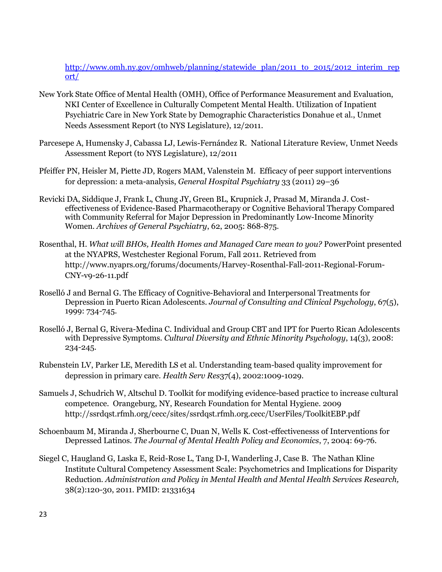[http://www.omh.ny.gov/omhweb/planning/statewide\\_plan/2011\\_to\\_2015/2012\\_interim\\_rep](http://www.omh.ny.gov/omhweb/planning/statewide_plan/2011_to_2015/2012_interim_report/) [ort/](http://www.omh.ny.gov/omhweb/planning/statewide_plan/2011_to_2015/2012_interim_report/)

- New York State Office of Mental Health (OMH), Office of Performance Measurement and Evaluation, NKI Center of Excellence in Culturally Competent Mental Health. Utilization of Inpatient Psychiatric Care in New York State by Demographic Characteristics Donahue et al., Unmet Needs Assessment Report (to NYS Legislature), 12/2011.
- Parcesepe A, Humensky J, Cabassa LJ, Lewis-Fernández R. National Literature Review, Unmet Needs Assessment Report (to NYS Legislature), 12/2011
- Pfeiffer PN, Heisler M, Piette JD, Rogers MAM, Valenstein M. Efficacy of peer support interventions for depression: a meta-analysis, *General Hospital Psychiatry* 33 (2011) 29–36
- Revicki DA, Siddique J, Frank L, Chung JY, Green BL, Krupnick J, Prasad M, Miranda J. Costeffectiveness of Evidence-Based Pharmacotherapy or Cognitive Behavioral Therapy Compared with Community Referral for Major Depression in Predominantly Low-Income Minority Women. *Archives of General Psychiatry*, 62, 2005: 868-875.
- Rosenthal, H. *What will BHOs, Health Homes and Managed Care mean to you?* PowerPoint presented at the NYAPRS, Westchester Regional Forum, Fall 2011. Retrieved from http://www.nyaprs.org/forums/documents/Harvey-Rosenthal-Fall-2011-Regional-Forum-CNY-v9-26-11.pdf
- Roselló J and Bernal G. The Efficacy of Cognitive-Behavioral and Interpersonal Treatments for Depression in Puerto Rican Adolescents. *Journal of Consulting and Clinical Psychology*, 67(5), 1999: 734-745.
- Roselló J, Bernal G, Rivera-Medina C. Individual and Group CBT and IPT for Puerto Rican Adolescents with Depressive Symptoms. *Cultural Diversity and Ethnic Minority Psychology*, 14(3), 2008: 234-245.
- Rubenstein LV, Parker LE, Meredith LS et al. Understanding team-based quality improvement for depression in primary care. *Health Serv Res*37(4), 2002:1009-1029.
- Samuels J, Schudrich W, Altschul D. Toolkit for modifying evidence-based practice to increase cultural competence. Orangeburg, NY, Research Foundation for Mental Hygiene. 2009 http://ssrdqst.rfmh.org/cecc/sites/ssrdqst.rfmh.org.cecc/UserFiles/ToolkitEBP.pdf
- Schoenbaum M, Miranda J, Sherbourne C, Duan N, Wells K. Cost-effectivenesss of Interventions for Depressed Latinos. *The Journal of Mental Health Policy and Economics*, 7, 2004: 69-76.
- Siegel C, Haugland G, Laska E, Reid-Rose L, Tang D-I, Wanderling J, Case B. The Nathan Kline Institute Cultural Competency Assessment Scale: Psychometrics and Implications for Disparity Reduction. *Administration and Policy in Mental Health and Mental Health Services Research,* 38(2):120-30, 2011. PMID: 21331634